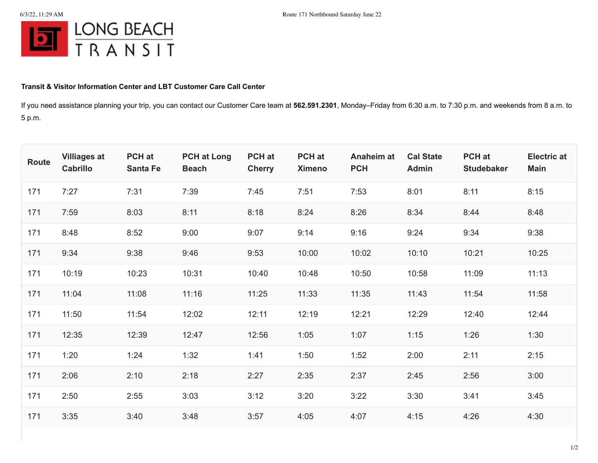

## **Transit & Visitor Information Center and LBT Customer Care Call Center**

If you need assistance planning your trip, you can contact our Customer Care team at **562.591.2301**, Monday–Friday from 6:30 a.m. to 7:30 p.m. and weekends from 8 a.m. to 5 p.m.

| Route | <b>Villiages at</b><br><b>Cabrillo</b> | PCH at<br><b>Santa Fe</b> | <b>PCH at Long</b><br><b>Beach</b> | PCH at<br><b>Cherry</b> | <b>PCH</b> at<br><b>Ximeno</b> | <b>Anaheim at</b><br><b>PCH</b> | <b>Cal State</b><br><b>Admin</b> | PCH at<br><b>Studebaker</b> | <b>Electric at</b><br><b>Main</b> |
|-------|----------------------------------------|---------------------------|------------------------------------|-------------------------|--------------------------------|---------------------------------|----------------------------------|-----------------------------|-----------------------------------|
| 171   | 7:27                                   | 7:31                      | 7:39                               | 7:45                    | 7:51                           | 7:53                            | 8:01                             | 8:11                        | 8:15                              |
| 171   | 7:59                                   | 8:03                      | 8:11                               | 8:18                    | 8:24                           | 8:26                            | 8:34                             | 8:44                        | 8:48                              |
| 171   | 8:48                                   | 8:52                      | 9:00                               | 9:07                    | 9:14                           | 9:16                            | 9:24                             | 9:34                        | 9:38                              |
| 171   | 9:34                                   | 9:38                      | 9:46                               | 9:53                    | 10:00                          | 10:02                           | 10:10                            | 10:21                       | 10:25                             |
| 171   | 10:19                                  | 10:23                     | 10:31                              | 10:40                   | 10:48                          | 10:50                           | 10:58                            | 11:09                       | 11:13                             |
| 171   | 11:04                                  | 11:08                     | 11:16                              | 11:25                   | 11:33                          | 11:35                           | 11:43                            | 11:54                       | 11:58                             |
| 171   | 11:50                                  | 11:54                     | 12:02                              | 12:11                   | 12:19                          | 12:21                           | 12:29                            | 12:40                       | 12:44                             |
| 171   | 12:35                                  | 12:39                     | 12:47                              | 12:56                   | 1:05                           | 1:07                            | 1:15                             | 1:26                        | 1:30                              |
| 171   | 1:20                                   | 1:24                      | 1:32                               | 1:41                    | 1:50                           | 1:52                            | 2:00                             | 2:11                        | 2:15                              |
| 171   | 2:06                                   | 2:10                      | 2:18                               | 2:27                    | 2:35                           | 2:37                            | 2:45                             | 2:56                        | 3:00                              |
| 171   | 2:50                                   | 2:55                      | 3:03                               | 3:12                    | 3:20                           | 3:22                            | 3:30                             | 3:41                        | 3:45                              |
| 171   | 3:35                                   | 3:40                      | 3:48                               | 3:57                    | 4:05                           | 4:07                            | 4:15                             | 4:26                        | 4:30                              |